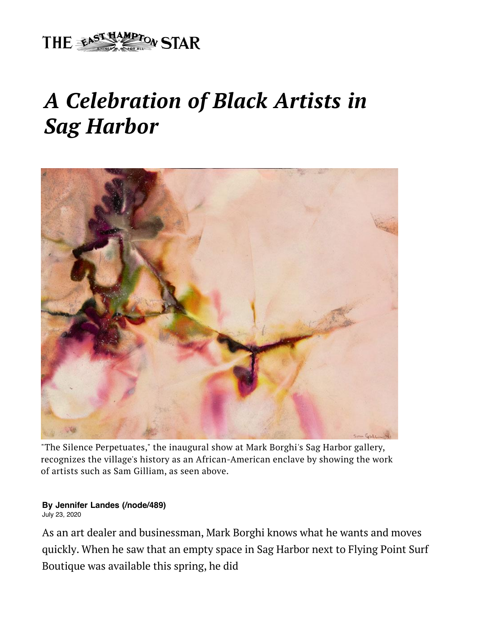

## *A Celebration of Black Artists in Sag Harbor*



"The Silence Perpetuates," the inaugural show at Mark Borghi's Sag Harbor gallery, recognizes the village's history as an African-American enclave by showing the work of artists such as Sam Gilliam, as seen above.

## **By [Jennifer Landes \(/node/489\)](https://www.easthamptonstar.com/node/489)**

July 23, 2020

[As an art dealer and businessman, Mark Borghi knows what he wants](mailto:?Subject=A%20Celebration%20of%20Black%20Artists%20in%20Sag%20Harbor%20&Body=http://www.easthamptonstar.com/arts/2020723/celebration-black-artists-sag-harbor) and moves quickly. When he saw that an empty space in Sag Harbor next to Flying Point Surf Boutique was available this spring, he did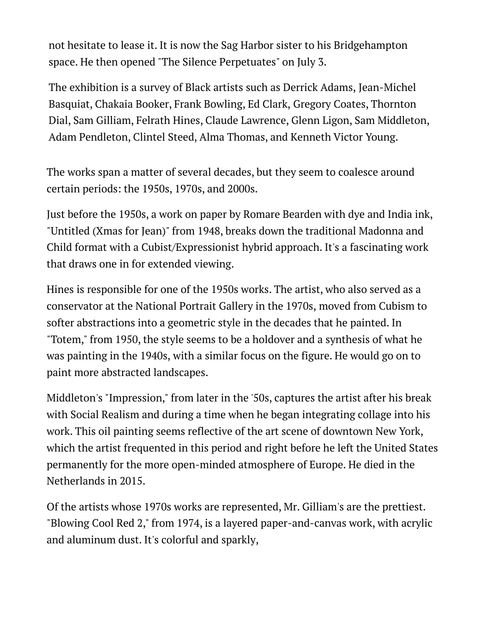not hesitate to lease it. It is now the Sag Harbor sister to his Bridgehampton space. He then opened "The Silence Perpetuates" on July 3.

The exhibition is a survey of Black artists such as Derrick Adams, Jean-Michel Basquiat, Chakaia Booker, Frank Bowling, Ed Clark, Gregory Coates, Thornton Dial, Sam Gilliam, Felrath Hines, Claude Lawrence, Glenn Ligon, Sam Middleton, Adam Pendleton, Clintel Steed, Alma Thomas, and Kenneth Victor Young.

The works span a matter of several decades, but they seem to coalesce around certain periods: the 1950s, 1970s, and 2000s.

Just before the 1950s, a work on paper by Romare Bearden with dye and India ink, "Untitled (Xmas for Jean)" from 1948, breaks down the traditional Madonna and Child format with a Cubist/Expressionist hybrid approach. It's a fascinating work that draws one in for extended viewing.

Hines is responsible for one of the 1950s works. The artist, who also served as a conservator at the National Portrait Gallery in the 1970s, moved from Cubism to softer abstractions into a geometric style in the decades that he painted. In "Totem," from 1950, the style seems to be a holdover and a synthesis of what he was painting in the 1940s, with a similar focus on the figure. He would go on to paint more abstracted landscapes.

Middleton's "Impression," from later in the '50s, captures the artist after his break with Social Realism and during a time when he began integrating collage into his work. This oil painting seems reflective of the art scene of downtown New York, which the artist frequented in this period and right before he left the United States permanently for the more open-minded atmosphere of Europe. He died in the Netherlands in 2015.

Of the artists whose 1970s works are represented, Mr. Gilliam's are the prettiest. "Blowing Cool Red 2," from 1974, is a layered paper-and-canvas work, with acrylic and aluminum dust. It's colorful and sparkly,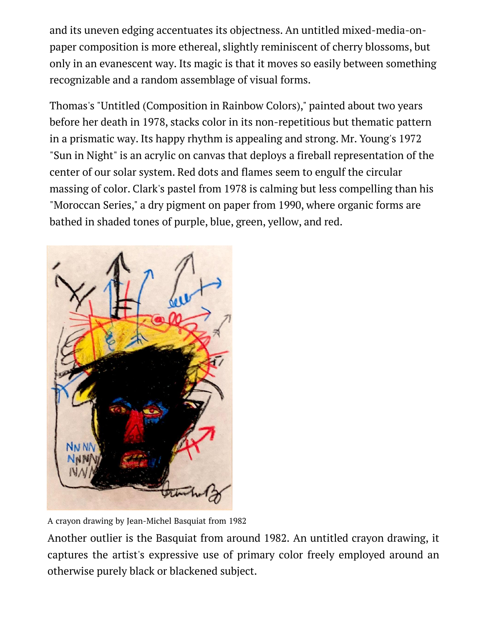and its uneven edging accentuates its objectness. An untitled mixed-media-onpaper composition is more ethereal, slightly reminiscent of cherry blossoms, but only in an evanescent way. Its magic is that it moves so easily between something recognizable and a random assemblage of visual forms.

Thomas's "Untitled (Composition in Rainbow Colors)," painted about two years before her death in 1978, stacks color in its non-repetitious but thematic pattern in a prismatic way. Its happy rhythm is appealing and strong. Mr. Young's 1972 "Sun in Night" is an acrylic on canvas that deploys a fireball representation of the center of our solar system. Red dots and flames seem to engulf the circular massing of color. Clark's pastel from 1978 is calming but less compelling than his "Moroccan Series," a dry pigment on paper from 1990, where organic forms are bathed in shaded tones of purple, blue, green, yellow, and red.



A crayon drawing by Jean-Michel Basquiat from 1982

Another outlier is the Basquiat from around 1982. An untitled crayon drawing, it captures the artist's expressive use of primary color freely employed around an otherwise purely black or blackened subject.